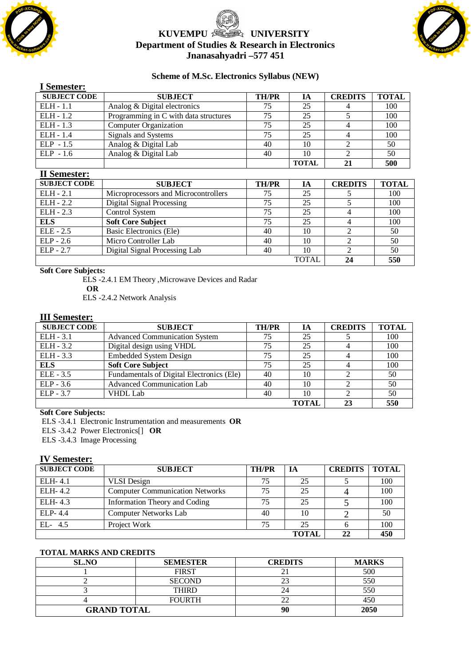

# **KUVEMPU <b>SEE** UNIVERSITY **Department of Studies & Research in Electronics Jnanasahyadri –577 451**



#### **Scheme of M.Sc. Electronics Syllabus (NEW)**

| і эспісмеі .        |                                       |              |              |                |              |
|---------------------|---------------------------------------|--------------|--------------|----------------|--------------|
| <b>SUBJECT CODE</b> | <b>SUBJECT</b>                        | <b>TH/PR</b> | IA           | <b>CREDITS</b> | <b>TOTAL</b> |
| $ELH - 1.1$         | Analog & Digital electronics          | 75           | 25           |                | 100          |
| $ELH - 1.2$         | Programming in C with data structures | 75           | 25           |                | 100          |
| $ELH - 1.3$         | Computer Organization                 | 75           | 25           |                | 100          |
| $ELH - 1.4$         | Signals and Systems                   | 75           | 25           |                | 100          |
| $ELP - 1.5$         | Analog & Digital Lab                  | 40           | 10           |                | 50           |
| $ELP - 1.6$         | Analog & Digital Lab                  | 40           | 10           |                | 50           |
|                     |                                       |              | <b>TOTAL</b> | 21             | 500          |

#### **II Semester:**

**I Semester:**

| 11 ОСШСТСТ :        |                                      |              |              |                |              |
|---------------------|--------------------------------------|--------------|--------------|----------------|--------------|
| <b>SUBJECT CODE</b> | <b>SUBJECT</b>                       | <b>TH/PR</b> | IА           | <b>CREDITS</b> | <b>TOTAL</b> |
| $ELH - 2.1$         | Microprocessors and Microcontrollers | 75           | 25           |                | 100          |
| $ELH - 2.2$         | Digital Signal Processing            | 75           | 25           |                | 100          |
| $ELH - 2.3$         | Control System                       | 75           | 25           |                | 100          |
| <b>ELS</b>          | <b>Soft Core Subject</b>             | 75           | 25           |                | 100          |
| $ELE - 2.5$         | Basic Electronics (Ele)              | 40           | 10           |                | 50           |
| $ELP - 2.6$         | Micro Controller Lab                 | 40           | 10           |                | 50           |
| $ELP - 2.7$         | Digital Signal Processing Lab        | 40           | 10           |                | 50           |
|                     |                                      |              | <b>TOTAI</b> | 24             | 550          |

**Soft Core Subjects:** 

ELS -2.4.1 EM Theory ,Microwave Devices and Radar

**OR**

ELS -2.4.2 Network Analysis

#### **III Semester:**

| <b>SUBJECT CODE</b> | <b>SUBJECT</b>                            | <b>TH/PR</b> | IА           | <b>CREDITS</b> | <b>TOTAL</b> |
|---------------------|-------------------------------------------|--------------|--------------|----------------|--------------|
| $ELH - 3.1$         | <b>Advanced Communication System</b>      | 75           | 25           |                | 100          |
| $ELH - 3.2$         | Digital design using VHDL                 | 75           | 25           |                | 100          |
| $ELH - 3.3$         | <b>Embedded System Design</b>             | 75           | 25           |                | 100          |
| <b>ELS</b>          | <b>Soft Core Subject</b>                  | 75           | 25           |                | 100          |
| $ELE - 3.5$         | Fundamentals of Digital Electronics (Ele) | 40           | 10           |                | 50           |
| $ELP - 3.6$         | <b>Advanced Communication Lab</b>         | 40           | 10           |                | 50           |
| $ELP - 3.7$         | <b>VHDL</b> Lab                           | 40           | 10           |                | 50           |
|                     |                                           |              | <b>TOTAL</b> | 23             | 550          |

## **Soft Core Subjects:**

ELS -3.4.1 Electronic Instrumentation and measurements **OR**

ELS -3.4.2 Power Electronics[] **OR**

ELS -3.4.3 Image Processing

#### **IV Semester:**

| <b>SUBJECT CODE</b> | <b>SUBJECT</b>                         | <b>TH/PR</b> | IA           | <b>CREDITS</b> | <b>TOTAL</b> |
|---------------------|----------------------------------------|--------------|--------------|----------------|--------------|
| ELH-4.1             | <b>VLSI</b> Design                     | 75           | 25           |                | 100          |
| ELH-4.2             | <b>Computer Communication Networks</b> | 75           | 25           |                | 100          |
| ELH-4.3             | Information Theory and Coding          | 75           | 25           |                | 100          |
| ELP-4.4             | <b>Computer Networks Lab</b>           | 40           | 10           |                | 50           |
| EL- 4.5             | Project Work                           | 75           | 25           |                | 100          |
|                     |                                        |              | <b>TOTAL</b> | 22             | 450          |

#### **TOTAL MARKS AND CREDITS**

| <b>SL.NO</b>       | <b>SEMESTER</b> | <b>CREDITS</b> | <b>MARKS</b> |
|--------------------|-----------------|----------------|--------------|
|                    | <b>FIRST</b>    |                | 500          |
|                    | <b>SECOND</b>   |                | 550          |
|                    | THIRD           |                | 550          |
|                    | FOI IRTH        |                | 450          |
| <b>GRAND TOTAL</b> |                 | 90             | 2050         |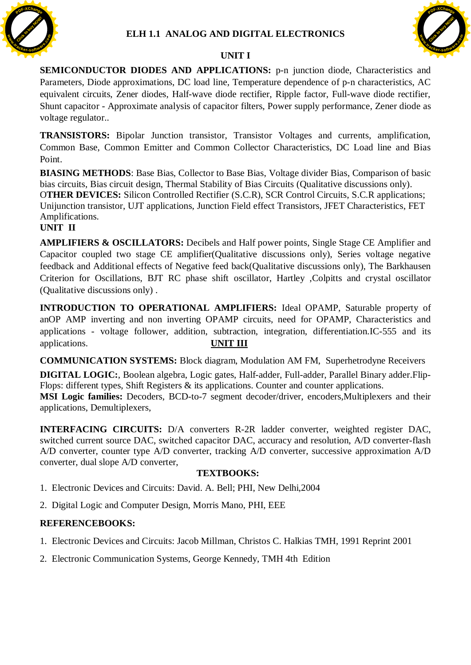

## **UNIT I**



**SEMICONDUCTOR DIODES AND APPLICATIONS:** p-n junction diode, Characteristics and Parameters, Diode approximations, DC load line, Temperature dependence of p-n characteristics, AC equivalent circuits, Zener diodes, Half-wave diode rectifier, Ripple factor, Full-wave diode rectifier, Shunt capacitor - Approximate analysis of capacitor filters, Power supply performance, Zener diode as voltage regulator..

**TRANSISTORS:** Bipolar Junction transistor, Transistor Voltages and currents, amplification, Common Base, Common Emitter and Common Collector Characteristics, DC Load line and Bias Point.

**BIASING METHODS**: Base Bias, Collector to Base Bias, Voltage divider Bias, Comparison of basic bias circuits, Bias circuit design, Thermal Stability of Bias Circuits (Qualitative discussions only). O**THER DEVICES:** Silicon Controlled Rectifier (S.C.R), SCR Control Circuits, S.C.R applications; Unijunction transistor, UJT applications, Junction Field effect Transistors, JFET Characteristics, FET Amplifications.

### **UNIT II**

**AMPLIFIERS & OSCILLATORS:** Decibels and Half power points, Single Stage CE Amplifier and Capacitor coupled two stage CE amplifier(Qualitative discussions only), Series voltage negative feedback and Additional effects of Negative feed back(Qualitative discussions only), The Barkhausen Criterion for Oscillations, BJT RC phase shift oscillator, Hartley ,Colpitts and crystal oscillator (Qualitative discussions only) .

**INTRODUCTION TO OPERATIONAL AMPLIFIERS:** Ideal OPAMP, Saturable property of anOP AMP inverting and non inverting OPAMP circuits, need for OPAMP, Characteristics and applications - voltage follower, addition, subtraction, integration, differentiation.IC-555 and its applications. **UNIT III**

**COMMUNICATION SYSTEMS:** Block diagram, Modulation AM FM, Superhetrodyne Receivers

**DIGITAL LOGIC:**, Boolean algebra, Logic gates, Half-adder, Full-adder, Parallel Binary adder.Flip-Flops: different types, Shift Registers & its applications. Counter and counter applications. **MSI Logic families:** Decoders, BCD-to-7 segment decoder/driver, encoders,Multiplexers and their applications, Demultiplexers,

**INTERFACING CIRCUITS:** D/A converters R-2R ladder converter, weighted register DAC, switched current source DAC, switched capacitor DAC, accuracy and resolution, A/D converter-flash A/D converter, counter type A/D converter, tracking A/D converter, successive approximation A/D converter, dual slope A/D converter,

## **TEXTBOOKS:**

- 1. Electronic Devices and Circuits: David. A. Bell; PHI, New Delhi,2004
- 2. Digital Logic and Computer Design, Morris Mano, PHI, EEE

- 1. Electronic Devices and Circuits: Jacob Millman, Christos C. Halkias TMH, 1991 Reprint 2001
- 2. Electronic Communication Systems, George Kennedy, TMH 4th Edition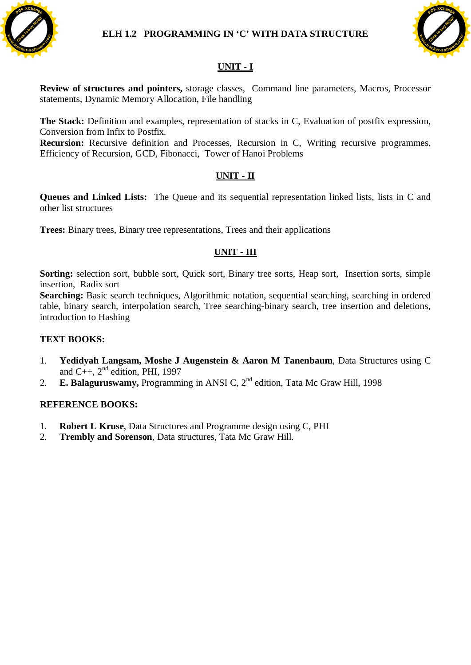



# **UNIT - I**

**Review of structures and pointers,** storage classes, Command line parameters, Macros, Processor statements, Dynamic Memory Allocation, File handling

**The Stack:** Definition and examples, representation of stacks in C, Evaluation of postfix expression, Conversion from Infix to Postfix.

**Recursion:** Recursive definition and Processes, Recursion in C, Writing recursive programmes, Efficiency of Recursion, GCD, Fibonacci, Tower of Hanoi Problems

## **UNIT - II**

**Queues and Linked Lists:** The Queue and its sequential representation linked lists, lists in C and other list structures

**Trees:** Binary trees, Binary tree representations, Trees and their applications

# **UNIT - III**

**Sorting:** selection sort, bubble sort, Quick sort, Binary tree sorts, Heap sort, Insertion sorts, simple insertion, Radix sort

**Searching:** Basic search techniques, Algorithmic notation, sequential searching, searching in ordered table, binary search, interpolation search, Tree searching-binary search, tree insertion and deletions, introduction to Hashing

### **TEXT BOOKS:**

- 1. **Yedidyah Langsam, Moshe J Augenstein & Aaron M Tanenbaum**, Data Structures using C and C++,  $2<sup>nd</sup>$  edition, PHI, 1997
- 2. **E. Balaguruswamy,** Programming in ANSI C, 2nd edition, Tata Mc Graw Hill, 1998

- 1. **Robert L Kruse**, Data Structures and Programme design using C, PHI
- 2. **Trembly and Sorenson**, Data structures, Tata Mc Graw Hill.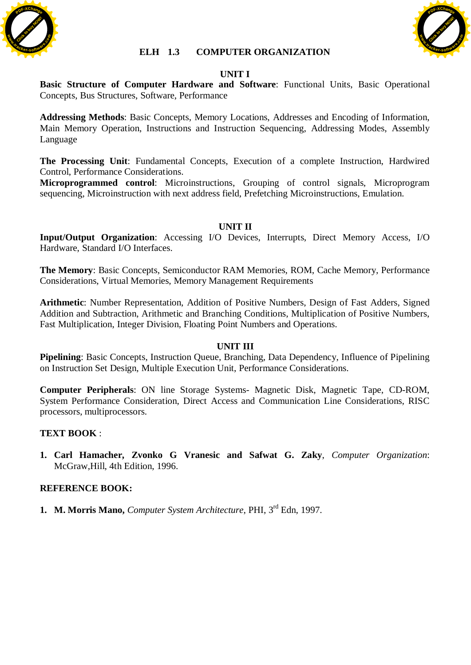



#### **ELH 1.3 COMPUTER ORGANIZATION**

### **UNIT I**

**Basic Structure of Computer Hardware and Software**: Functional Units, Basic Operational Concepts, Bus Structures, Software, Performance

**Addressing Methods**: Basic Concepts, Memory Locations, Addresses and Encoding of Information, Main Memory Operation, Instructions and Instruction Sequencing, Addressing Modes, Assembly Language

**The Processing Unit**: Fundamental Concepts, Execution of a complete Instruction, Hardwired Control, Performance Considerations.

**Microprogrammed control**: Microinstructions, Grouping of control signals, Microprogram sequencing, Microinstruction with next address field, Prefetching Microinstructions, Emulation.

### **UNIT II**

**Input/Output Organization**: Accessing I/O Devices, Interrupts, Direct Memory Access, I/O Hardware, Standard I/O Interfaces.

**The Memory**: Basic Concepts, Semiconductor RAM Memories, ROM, Cache Memory, Performance Considerations, Virtual Memories, Memory Management Requirements

**Arithmetic**: Number Representation, Addition of Positive Numbers, Design of Fast Adders, Signed Addition and Subtraction, Arithmetic and Branching Conditions, Multiplication of Positive Numbers, Fast Multiplication, Integer Division, Floating Point Numbers and Operations.

#### **UNIT III**

**Pipelining**: Basic Concepts, Instruction Queue, Branching, Data Dependency, Influence of Pipelining on Instruction Set Design, Multiple Execution Unit, Performance Considerations.

**Computer Peripherals**: ON line Storage Systems- Magnetic Disk, Magnetic Tape, CD-ROM, System Performance Consideration, Direct Access and Communication Line Considerations, RISC processors, multiprocessors.

#### **TEXT BOOK** :

**1. Carl Hamacher, Zvonko G Vranesic and Safwat G. Zaky**, *Computer Organization*: McGraw,Hill, 4th Edition, 1996.

#### **REFERENCE BOOK:**

**1. M. Morris Mano,** *Computer System Architecture*, PHI, 3rd Edn, 1997.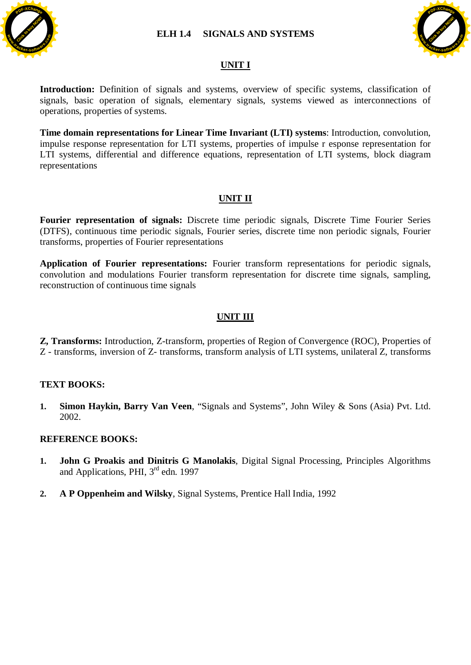





## **UNIT I**

Introduction: Definition of signals and systems, overview of specific systems, classification of signals, basic operation of signals, elementary signals, systems viewed as interconnections of operations, properties of systems.

**Time domain representations for Linear Time Invariant (LTI) systems**: Introduction, convolution, impulse response representation for LTI systems, properties of impulse r esponse representation for LTI systems, differential and difference equations, representation of LTI systems, block diagram representations

## **UNIT II**

**Fourier representation of signals:** Discrete time periodic signals, Discrete Time Fourier Series (DTFS), continuous time periodic signals, Fourier series, discrete time non periodic signals, Fourier transforms, properties of Fourier representations

**Application of Fourier representations:** Fourier transform representations for periodic signals, convolution and modulations Fourier transform representation for discrete time signals, sampling, reconstruction of continuous time signals

### **UNIT III**

**Z, Transforms:** Introduction, Z-transform, properties of Region of Convergence (ROC), Properties of Z - transforms, inversion of Z- transforms, transform analysis of LTI systems, unilateral Z, transforms

### **TEXT BOOKS:**

**1. Simon Haykin, Barry Van Veen**, "Signals and Systems", John Wiley & Sons (Asia) Pvt. Ltd. 2002.

- **1. John G Proakis and Dinitris G Manolakis**, Digital Signal Processing, Principles Algorithms and Applications, PHI, 3rd edn. 1997
- **2. A P Oppenheim and Wilsky**, Signal Systems, Prentice Hall India, 1992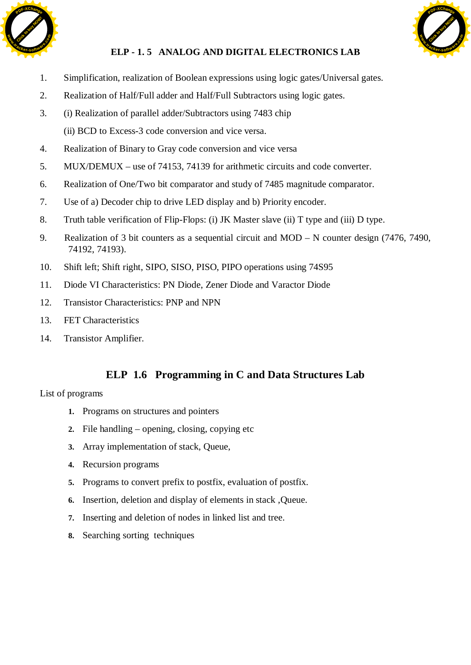



# **ELP - 1. 5 ANALOG AND DIGITAL ELECTRONICS LAB**

- 1. Simplification, realization of Boolean expressions using logic gates/Universal gates.
- 2. Realization of Half/Full adder and Half/Full Subtractors using logic gates.
- 3. (i) Realization of parallel adder/Subtractors using 7483 chip (ii) BCD to Excess-3 code conversion and vice versa.
- 4. Realization of Binary to Gray code conversion and vice versa
- 5. MUX/DEMUX use of 74153, 74139 for arithmetic circuits and code converter.
- 6. Realization of One/Two bit comparator and study of 7485 magnitude comparator.
- 7. Use of a) Decoder chip to drive LED display and b) Priority encoder.
- 8. Truth table verification of Flip-Flops: (i) JK Master slave (ii) T type and (iii) D type.
- 9. Realization of 3 bit counters as a sequential circuit and MOD N counter design (7476, 7490, 74192, 74193).
- 10. Shift left; Shift right, SIPO, SISO, PISO, PIPO operations using 74S95
- 11. Diode VI Characteristics: PN Diode, Zener Diode and Varactor Diode
- 12. Transistor Characteristics: PNP and NPN
- 13. FET Characteristics
- 14. Transistor Amplifier.

# **ELP 1.6 Programming in C and Data Structures Lab**

List of programs

- **1.** Programs on structures and pointers
- **2.** File handling opening, closing, copying etc
- **3.** Array implementation of stack, Queue,
- **4.** Recursion programs
- **5.** Programs to convert prefix to postfix, evaluation of postfix.
- **6.** Insertion, deletion and display of elements in stack ,Queue.
- **7.** Inserting and deletion of nodes in linked list and tree.
- **8.** Searching sorting techniques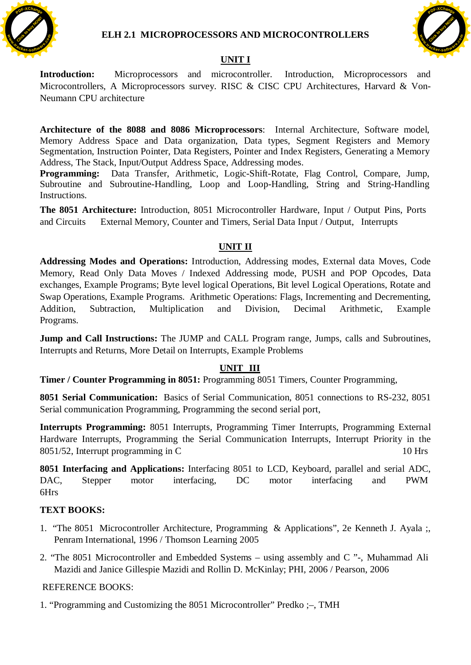



# **UNIT I**

**Introduction:** Microprocessors and microcontroller. Introduction, Microprocessors and Microcontrollers, A Microprocessors survey. RISC & CISC CPU Architectures, Harvard & Von-Neumann CPU architecture

**Architecture of the 8088 and 8086 Microprocessors**: Internal Architecture, Software model, Memory Address Space and Data organization, Data types, Segment Registers and Memory Segmentation, Instruction Pointer, Data Registers, Pointer and Index Registers, Generating a Memory Address, The Stack, Input/Output Address Space, Addressing modes.

**Programming:** Data Transfer, Arithmetic, Logic-Shift-Rotate, Flag Control, Compare, Jump, Subroutine and Subroutine-Handling, Loop and Loop-Handling, String and String-Handling Instructions.

**The 8051 Architecture:** Introduction, 8051 Microcontroller Hardware, Input / Output Pins, Ports and Circuits External Memory, Counter and Timers, Serial Data Input / Output, Interrupts

## **UNIT II**

**Addressing Modes and Operations:** Introduction, Addressing modes, External data Moves, Code Memory, Read Only Data Moves / Indexed Addressing mode, PUSH and POP Opcodes, Data exchanges, Example Programs; Byte level logical Operations, Bit level Logical Operations, Rotate and Swap Operations, Example Programs. Arithmetic Operations: Flags, Incrementing and Decrementing, Addition, Subtraction, Multiplication and Division, Decimal Arithmetic, Example Programs.

**Jump and Call Instructions:** The JUMP and CALL Program range, Jumps, calls and Subroutines, Interrupts and Returns, More Detail on Interrupts, Example Problems

## **UNIT III**

**Timer / Counter Programming in 8051:** Programming 8051 Timers, Counter Programming,

**8051 Serial Communication:** Basics of Serial Communication, 8051 connections to RS-232, 8051 Serial communication Programming, Programming the second serial port,

**Interrupts Programming:** 8051 Interrupts, Programming Timer Interrupts, Programming External Hardware Interrupts, Programming the Serial Communication Interrupts, Interrupt Priority in the 8051/52, Interrupt programming in C 10 Hrs

**8051 Interfacing and Applications:** Interfacing 8051 to LCD, Keyboard, parallel and serial ADC, DAC, Stepper motor interfacing, DC motor interfacing and PWM 6Hrs

## **TEXT BOOKS:**

- 1. "The 8051 Microcontroller Architecture, Programming & Applications", 2e Kenneth J. Ayala ;, Penram International, 1996 / Thomson Learning 2005
- 2. "The 8051 Microcontroller and Embedded Systems using assembly and C "-, Muhammad Ali Mazidi and Janice Gillespie Mazidi and Rollin D. McKinlay; PHI, 2006 / Pearson, 2006

## REFERENCE BOOKS:

1. "Programming and Customizing the 8051 Microcontroller" Predko ;–, TMH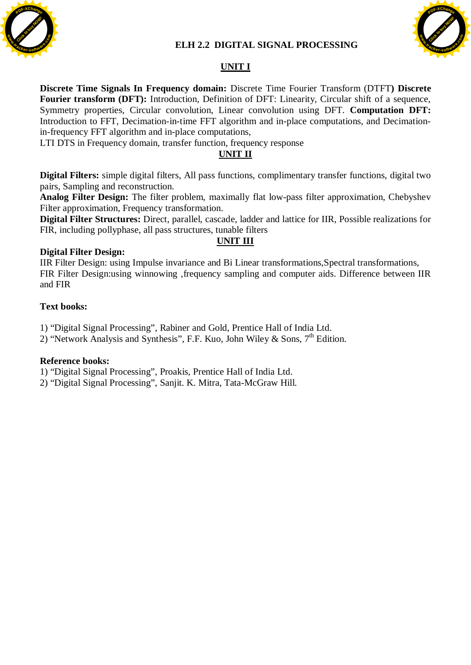## **ELH 2.2 DIGITAL SIGNAL PROCESSING**





# **UNIT I**

**Discrete Time Signals In Frequency domain:** Discrete Time Fourier Transform (DTFT**) Discrete Fourier transform (DFT):** Introduction, Definition of DFT: Linearity, Circular shift of a sequence, Symmetry properties, Circular convolution, Linear convolution using DFT. **Computation DFT:**  Introduction to FFT, Decimation-in-time FFT algorithm and in-place computations, and Decimationin-frequency FFT algorithm and in-place computations,

LTI DTS in Frequency domain, transfer function, frequency response

#### **UNIT II**

**Digital Filters:** simple digital filters, All pass functions, complimentary transfer functions, digital two pairs, Sampling and reconstruction.

**Analog Filter Design:** The filter problem, maximally flat low-pass filter approximation, Chebyshev Filter approximation, Frequency transformation.

**Digital Filter Structures:** Direct, parallel, cascade, ladder and lattice for IIR, Possible realizations for FIR, including pollyphase, all pass structures, tunable filters

## **UNIT III**

#### **Digital Filter Design:**

IIR Filter Design: using Impulse invariance and Bi Linear transformations,Spectral transformations, FIR Filter Design:using winnowing ,frequency sampling and computer aids. Difference between IIR and FIR

#### **Text books:**

1) "Digital Signal Processing", Rabiner and Gold, Prentice Hall of India Ltd.

2) "Network Analysis and Synthesis", F.F. Kuo, John Wiley & Sons,  $7<sup>th</sup>$  Edition.

#### **Reference books:**

1) "Digital Signal Processing", Proakis, Prentice Hall of India Ltd.

2) "Digital Signal Processing", Sanjit. K. Mitra, Tata-McGraw Hill.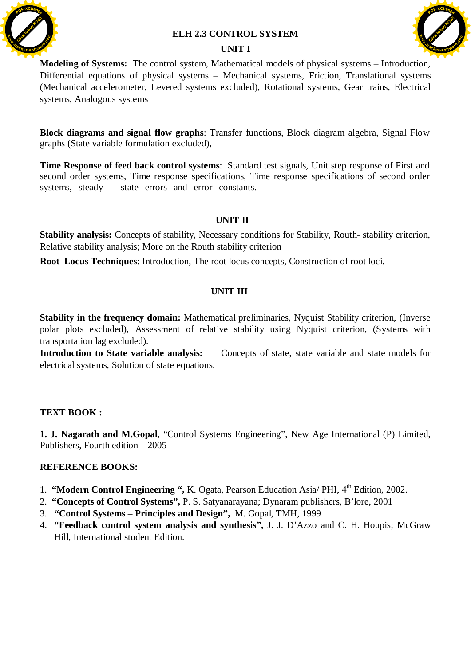

#### **ELH 2.3 CONTROL SYSTEM**





**Modeling of Systems:** The control system, Mathematical models of physical systems – Introduction, Differential equations of physical systems – Mechanical systems, Friction, Translational systems (Mechanical accelerometer, Levered systems excluded), Rotational systems, Gear trains, Electrical systems, Analogous systems

**Block diagrams and signal flow graphs**: Transfer functions, Block diagram algebra, Signal Flow graphs (State variable formulation excluded),

**Time Response of feed back control systems**:Standard test signals, Unit step response of First and second order systems, Time response specifications, Time response specifications of second order systems, steady – state errors and error constants.

### **UNIT II**

**Stability analysis:** Concepts of stability, Necessary conditions for Stability, Routh- stability criterion, Relative stability analysis; More on the Routh stability criterion

**Root–Locus Techniques**: Introduction, The root locus concepts, Construction of root loci.

## **UNIT III**

**Stability in the frequency domain:** Mathematical preliminaries, Nyquist Stability criterion, (Inverse polar plots excluded), Assessment of relative stability using Nyquist criterion, (Systems with transportation lag excluded).

Introduction to State variable analysis: Concepts of state, state variable and state models for electrical systems, Solution of state equations.

### **TEXT BOOK :**

**1. J. Nagarath and M.Gopal**, "Control Systems Engineering", New Age International (P) Limited, Publishers, Fourth edition – 2005

- 1. **"Modern Control Engineering ", K**. Ogata, Pearson Education Asia/ PHI, 4<sup>th</sup> Edition, 2002.
- 2. **"Concepts of Control Systems",** P. S. Satyanarayana; Dynaram publishers, B'lore, 2001
- 3. **"Control Systems Principles and Design",** M. Gopal, TMH, 1999
- 4. **"Feedback control system analysis and synthesis",** J. J. D'Azzo and C. H. Houpis; McGraw Hill, International student Edition.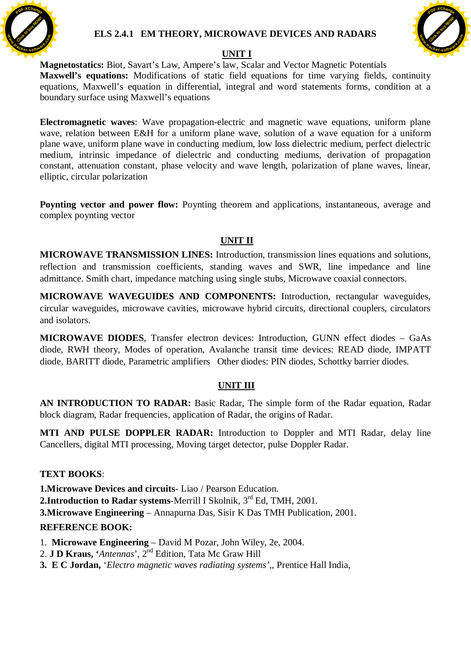

## **ELS 2.4.1 EM THEORY, MICROWAVE DEVICES AND RADARS**



## **UNIT I**

**Magnetostatics:** Biot, Savart's Law, Ampere's law, Scalar and Vector Magnetic Potentials **Maxwell's equations:** Modifications of static field equations for time varying fields, continuity equations, Maxwell's equation in differential, integral and word statements forms, condition at a boundary surface using Maxwell's equations

**Electromagnetic waves**: Wave propagation-electric and magnetic wave equations, uniform plane wave, relation between E&H for a uniform plane wave, solution of a wave equation for a uniform plane wave, uniform plane wave in conducting medium, low loss dielectric medium, perfect dielectric medium, intrinsic impedance of dielectric and conducting mediums, derivation of propagation constant, attenuation constant, phase velocity and wave length, polarization of plane waves, linear, elliptic, circular polarization

**Poynting vector and power flow:** Poynting theorem and applications, instantaneous, average and complex poynting vector

# **UNIT II**

**MICROWAVE TRANSMISSION LINES:** Introduction, transmission lines equations and solutions, reflection and transmission coefficients, standing waves and SWR, line impedance and line admittance. Smith chart, impedance matching using single stubs, Microwave coaxial connectors.

**MICROWAVE WAVEGUIDES AND COMPONENTS:** Introduction, rectangular waveguides, circular waveguides, microwave cavities, microwave hybrid circuits, directional couplers, circulators and isolators.

**MICROWAVE DIODES**, Transfer electron devices: Introduction, GUNN effect diodes – GaAs diode, RWH theory, Modes of operation, Avalanche transit time devices: READ diode, IMPATT diode, BARITT diode, Parametric amplifiers Other diodes: PIN diodes, Schottky barrier diodes.

## **UNIT III**

**AN INTRODUCTION TO RADAR:** Basic Radar, The simple form of the Radar equation, Radar block diagram, Radar frequencies, application of Radar, the origins of Radar.

**MTI AND PULSE DOPPLER RADAR:** Introduction to Doppler and MTI Radar, delay line Cancellers, digital MTI processing, Moving target detector, pulse Doppler Radar.

## **TEXT BOOKS**:

**1.Microwave Devices and circuits**- Liao / Pearson Education.

**2.Introduction to Radar systems-Merrill I Skolnik, 3<sup>rd</sup> Ed, TMH, 2001.** 

**3.Microwave Engineering** – Annapurna Das, Sisir K Das TMH Publication, 2001.

- 1. **Microwave Engineering** David M Pozar, John Wiley, 2e, 2004.
- 2. **J D Kraus, '***Antennas*', 2nd Edition, Tata Mc Graw Hill
- **3. E C Jordan,** '*Electro magnetic waves radiating systems'*,, Prentice Hall India,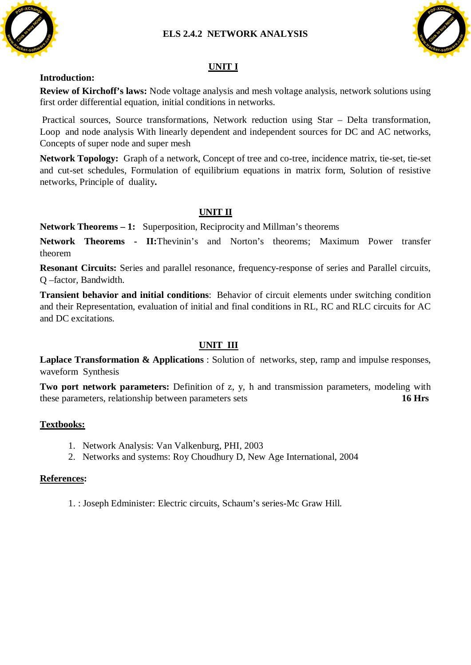## **ELS 2.4.2 NETWORK ANALYSIS**



# [Click to buy NOW!](http://www.tracker-software.com/buy-now) **<sup>P</sup>DF-XChang<sup>e</sup> w .tracker-software.co<sup>m</sup>**

# **UNIT I**

#### **Introduction:**

**Review of Kirchoff's laws:** Node voltage analysis and mesh voltage analysis, network solutions using first order differential equation, initial conditions in networks.

 Practical sources, Source transformations, Network reduction using Star – Delta transformation, Loop and node analysis With linearly dependent and independent sources for DC and AC networks, Concepts of super node and super mesh

**Network Topology:** Graph of a network, Concept of tree and co-tree, incidence matrix, tie-set, tie-set and cut-set schedules, Formulation of equilibrium equations in matrix form, Solution of resistive networks, Principle of duality**.** 

## **UNIT II**

**Network Theorems – 1:** Superposition, Reciprocity and Millman's theorems

**Network Theorems - II:**Thevinin's and Norton's theorems; Maximum Power transfer theorem

**Resonant Circuits:** Series and parallel resonance, frequency-response of series and Parallel circuits, Q –factor, Bandwidth.

**Transient behavior and initial conditions**: Behavior of circuit elements under switching condition and their Representation, evaluation of initial and final conditions in RL, RC and RLC circuits for AC and DC excitations.

## **UNIT III**

**Laplace Transformation & Applications** : Solution of networks, step, ramp and impulse responses, waveform Synthesis

**Two port network parameters:** Definition of z, y, h and transmission parameters, modeling with these parameters, relationship between parameters sets **16 Hrs**

### **Textbooks:**

- 1. Network Analysis: Van Valkenburg, PHI, 2003
- 2. Networks and systems: Roy Choudhury D, New Age International, 2004

### **References:**

1. : Joseph Edminister: Electric circuits, Schaum's series-Mc Graw Hill.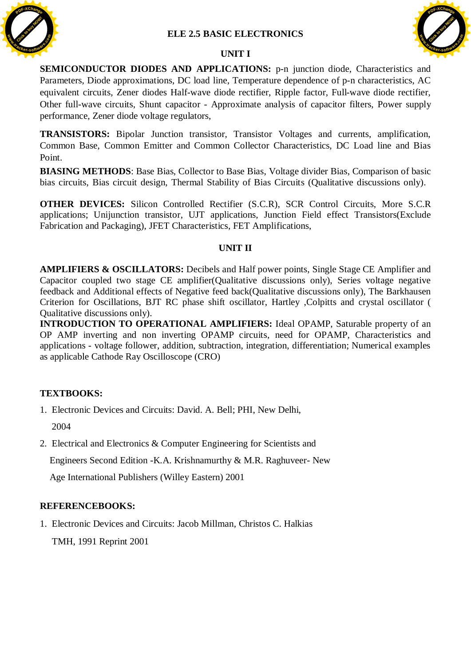

#### **UNIT I**



**SEMICONDUCTOR DIODES AND APPLICATIONS:** p-n junction diode, Characteristics and Parameters, Diode approximations, DC load line, Temperature dependence of p-n characteristics, AC equivalent circuits, Zener diodes Half-wave diode rectifier, Ripple factor, Full-wave diode rectifier, Other full-wave circuits, Shunt capacitor - Approximate analysis of capacitor filters, Power supply performance, Zener diode voltage regulators,

**TRANSISTORS:** Bipolar Junction transistor, Transistor Voltages and currents, amplification, Common Base, Common Emitter and Common Collector Characteristics, DC Load line and Bias Point.

**BIASING METHODS**: Base Bias, Collector to Base Bias, Voltage divider Bias, Comparison of basic bias circuits, Bias circuit design, Thermal Stability of Bias Circuits (Qualitative discussions only).

**OTHER DEVICES:** Silicon Controlled Rectifier (S.C.R), SCR Control Circuits, More S.C.R applications; Unijunction transistor, UJT applications, Junction Field effect Transistors(Exclude Fabrication and Packaging), JFET Characteristics, FET Amplifications,

#### **UNIT II**

**AMPLIFIERS & OSCILLATORS:** Decibels and Half power points, Single Stage CE Amplifier and Capacitor coupled two stage CE amplifier(Qualitative discussions only), Series voltage negative feedback and Additional effects of Negative feed back(Qualitative discussions only), The Barkhausen Criterion for Oscillations, BJT RC phase shift oscillator, Hartley ,Colpitts and crystal oscillator ( Qualitative discussions only).

**INTRODUCTION TO OPERATIONAL AMPLIFIERS:** Ideal OPAMP, Saturable property of an OP AMP inverting and non inverting OPAMP circuits, need for OPAMP, Characteristics and applications - voltage follower, addition, subtraction, integration, differentiation; Numerical examples as applicable Cathode Ray Oscilloscope (CRO)

### **TEXTBOOKS:**

1. Electronic Devices and Circuits: David. A. Bell; PHI, New Delhi,

2004

2. Electrical and Electronics & Computer Engineering for Scientists and

Engineers Second Edition -K.A. Krishnamurthy & M.R. Raghuveer- New

Age International Publishers (Willey Eastern) 2001

### **REFERENCEBOOKS:**

1. Electronic Devices and Circuits: Jacob Millman, Christos C. Halkias TMH, 1991 Reprint 2001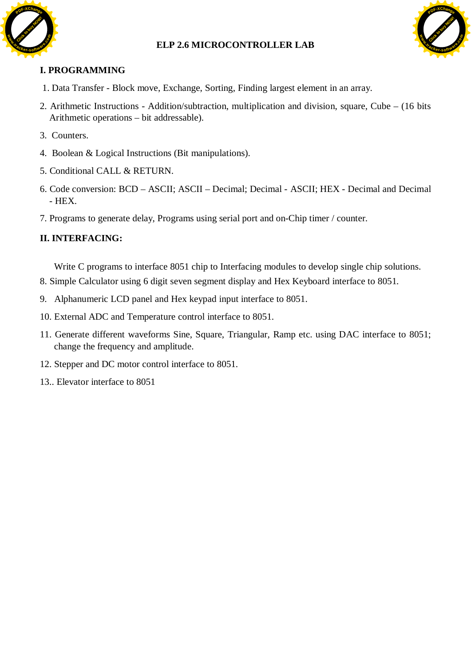## **ELP 2.6 MICROCONTROLLER LAB**





**<sup>P</sup>DF-XChang<sup>e</sup>**

**www**

# **I. PROGRAMMING**

- 1. Data Transfer Block move, Exchange, Sorting, Finding largest element in an array.
- 2. Arithmetic Instructions Addition/subtraction, multiplication and division, square, Cube (16 bits Arithmetic operations – bit addressable).
- 3. Counters.
- 4. Boolean & Logical Instructions (Bit manipulations).
- 5. Conditional CALL & RETURN.
- 6. Code conversion: BCD ASCII; ASCII Decimal; Decimal ASCII; HEX Decimal and Decimal - HEX.
- 7. Programs to generate delay, Programs using serial port and on-Chip timer / counter.

## **II. INTERFACING:**

Write C programs to interface 8051 chip to Interfacing modules to develop single chip solutions.

- 8. Simple Calculator using 6 digit seven segment display and Hex Keyboard interface to 8051.
- 9. Alphanumeric LCD panel and Hex keypad input interface to 8051.
- 10. External ADC and Temperature control interface to 8051.
- 11. Generate different waveforms Sine, Square, Triangular, Ramp etc. using DAC interface to 8051; change the frequency and amplitude.
- 12. Stepper and DC motor control interface to 8051.
- 13.. Elevator interface to 8051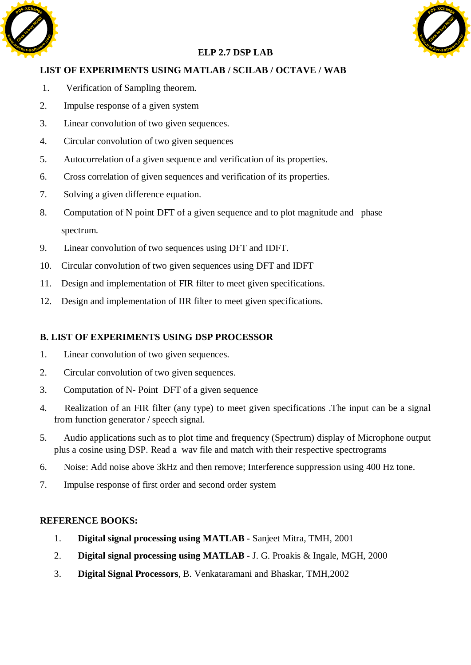



# **ELP 2.7 DSP LAB**

# **LIST OF EXPERIMENTS USING MATLAB / SCILAB / OCTAVE / WAB**

- 1. Verification of Sampling theorem.
- 2. Impulse response of a given system
- 3. Linear convolution of two given sequences.
- 4. Circular convolution of two given sequences
- 5. Autocorrelation of a given sequence and verification of its properties.
- 6. Cross correlation of given sequences and verification of its properties.
- 7. Solving a given difference equation.
- 8. Computation of N point DFT of a given sequence and to plot magnitude and phase spectrum.
- 9. Linear convolution of two sequences using DFT and IDFT.
- 10. Circular convolution of two given sequences using DFT and IDFT
- 11. Design and implementation of FIR filter to meet given specifications.
- 12. Design and implementation of IIR filter to meet given specifications.

## **B. LIST OF EXPERIMENTS USING DSP PROCESSOR**

- 1. Linear convolution of two given sequences.
- 2. Circular convolution of two given sequences.
- 3. Computation of N- Point DFT of a given sequence
- 4. Realization of an FIR filter (any type) to meet given specifications .The input can be a signal from function generator / speech signal.
- 5. Audio applications such as to plot time and frequency (Spectrum) display of Microphone output plus a cosine using DSP. Read a wav file and match with their respective spectrograms
- 6. Noise: Add noise above 3kHz and then remove; Interference suppression using 400 Hz tone.
- 7. Impulse response of first order and second order system

- 1. **Digital signal processing using MATLAB** Sanjeet Mitra, TMH, 2001
- 2. **Digital signal processing using MATLAB** J. G. Proakis & Ingale, MGH, 2000
- 3. **Digital Signal Processors**, B. Venkataramani and Bhaskar, TMH,2002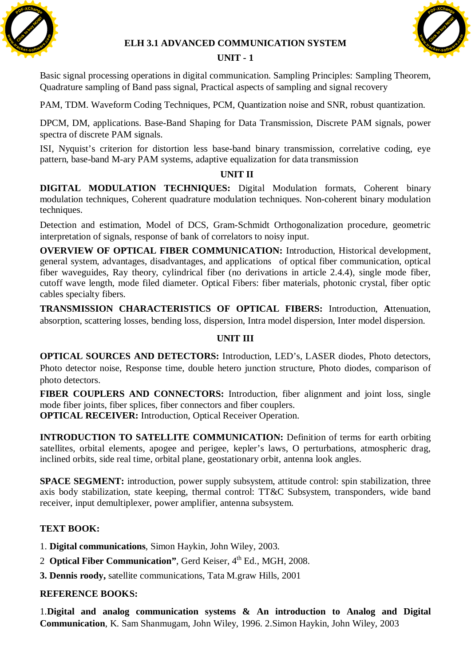

#### **ELH 3.1 ADVANCED COMMUNICATION SYSTEM**

## **UNIT - 1**



Basic signal processing operations in digital communication. Sampling Principles: Sampling Theorem, Quadrature sampling of Band pass signal, Practical aspects of sampling and signal recovery

PAM, TDM. Waveform Coding Techniques, PCM, Quantization noise and SNR, robust quantization.

DPCM, DM, applications. Base-Band Shaping for Data Transmission, Discrete PAM signals, power spectra of discrete PAM signals.

ISI, Nyquist's criterion for distortion less base-band binary transmission, correlative coding, eye pattern, base-band M-ary PAM systems, adaptive equalization for data transmission

### **UNIT II**

**DIGITAL MODULATION TECHNIQUES:** Digital Modulation formats, Coherent binary modulation techniques, Coherent quadrature modulation techniques. Non-coherent binary modulation techniques.

Detection and estimation, Model of DCS, Gram-Schmidt Orthogonalization procedure, geometric interpretation of signals, response of bank of correlators to noisy input.

**OVERVIEW OF OPTICAL FIBER COMMUNICATION:** Introduction, Historical development, general system, advantages, disadvantages, and applications of optical fiber communication, optical fiber waveguides, Ray theory, cylindrical fiber (no derivations in article 2.4.4), single mode fiber, cutoff wave length, mode filed diameter. Optical Fibers: fiber materials, photonic crystal, fiber optic cables specialty fibers. **Communication**<br> **Communication**, Sampling Proteinbes Sampling Proteinbes Sampling<br>
Busic signal processing operations in digital communications. Sampling matigates: Sampling and<br>
Dardunture sampling of Band pass signal, P

**TRANSMISSION CHARACTERISTICS OF OPTICAL FIBERS:** Introduction, **A**ttenuation, absorption, scattering losses, bending loss, dispersion, Intra model dispersion, Inter model dispersion.

### **UNIT III**

**OPTICAL SOURCES AND DETECTORS:** Introduction, LED's, LASER diodes, Photo detectors, Photo detector noise, Response time, double hetero junction structure, Photo diodes, comparison of photo detectors.

**FIBER COUPLERS AND CONNECTORS:** Introduction, fiber alignment and joint loss, single mode fiber joints, fiber splices, fiber connectors and fiber couplers. **OPTICAL RECEIVER:** Introduction, Optical Receiver Operation.

**INTRODUCTION TO SATELLITE COMMUNICATION:** Definition of terms for earth orbiting satellites, orbital elements, apogee and perigee, kepler's laws, O perturbations, atmospheric drag, inclined orbits, side real time, orbital plane, geostationary orbit, antenna look angles.

**SPACE SEGMENT:** introduction, power supply subsystem, attitude control: spin stabilization, three axis body stabilization, state keeping, thermal control: TT&C Subsystem, transponders, wide band receiver, input demultiplexer, power amplifier, antenna subsystem.

### **TEXT BOOK:**

- 1. **Digital communications**, Simon Haykin, John Wiley, 2003.
- 2 **Optical Fiber Communication"**, Gerd Keiser, 4<sup>th</sup> Ed., MGH, 2008.
- **3. Dennis roody,** satellite communications, Tata M.graw Hills, 2001

### **REFERENCE BOOKS:**

1.**Digital and analog communication systems & An introduction to Analog and Digital**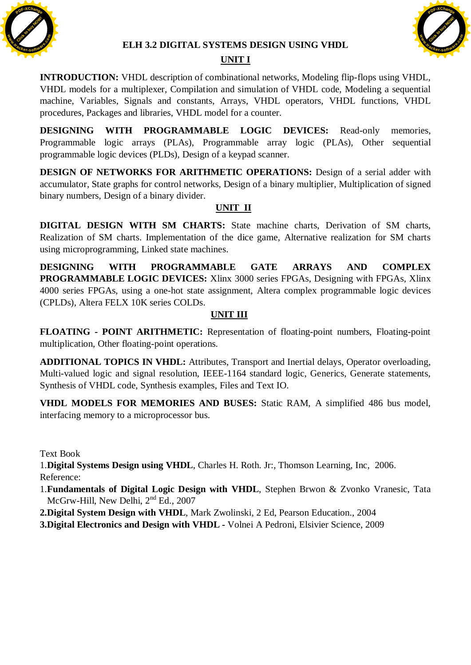

#### **ELH 3.2 DIGITAL SYSTEMS DESIGN USING VHDL**



## **UNIT I**

**INTRODUCTION:** VHDL description of combinational networks, Modeling flip-flops using VHDL, VHDL models for a multiplexer, Compilation and simulation of VHDL code, Modeling a sequential machine, Variables, Signals and constants, Arrays, VHDL operators, VHDL functions, VHDL procedures, Packages and libraries, VHDL model for a counter.

**DESIGNING WITH PROGRAMMABLE LOGIC DEVICES:** Read-only memories, Programmable logic arrays (PLAs), Programmable array logic (PLAs), Other sequential programmable logic devices (PLDs), Design of a keypad scanner.

**DESIGN OF NETWORKS FOR ARITHMETIC OPERATIONS:** Design of a serial adder with accumulator, State graphs for control networks, Design of a binary multiplier, Multiplication of signed binary numbers, Design of a binary divider.

## **UNIT II**

**DIGITAL DESIGN WITH SM CHARTS:** State machine charts, Derivation of SM charts, Realization of SM charts. Implementation of the dice game, Alternative realization for SM charts using microprogramming, Linked state machines.

**DESIGNING WITH PROGRAMMABLE GATE ARRAYS AND COMPLEX PROGRAMMABLE LOGIC DEVICES:** Xlinx 3000 series FPGAs, Designing with FPGAs, Xlinx 4000 series FPGAs, using a one-hot state assignment, Altera complex programmable logic devices (CPLDs), Altera FELX 10K series COLDs.

## **UNIT III**

**FLOATING - POINT ARITHMETIC:** Representation of floating-point numbers, Floating-point multiplication, Other floating-point operations.

**ADDITIONAL TOPICS IN VHDL:** Attributes, Transport and Inertial delays, Operator overloading, Multi-valued logic and signal resolution, IEEE-1164 standard logic, Generics, Generate statements, Synthesis of VHDL code, Synthesis examples, Files and Text IO.

**VHDL MODELS FOR MEMORIES AND BUSES:** Static RAM, A simplified 486 bus model, interfacing memory to a microprocessor bus.

Text Book

1.**Digital Systems Design using VHDL**, Charles H. Roth. Jr:, Thomson Learning, Inc, 2006. Reference:

1.**Fundamentals of Digital Logic Design with VHDL**, Stephen Brwon & Zvonko Vranesic, Tata McGrw-Hill, New Delhi,  $2<sup>nd</sup> Ed.$ , 2007

**2.Digital System Design with VHDL**, Mark Zwolinski, 2 Ed, Pearson Education., 2004

**3.Digital Electronics and Design with VHDL -** Volnei A Pedroni, Elsivier Science, 2009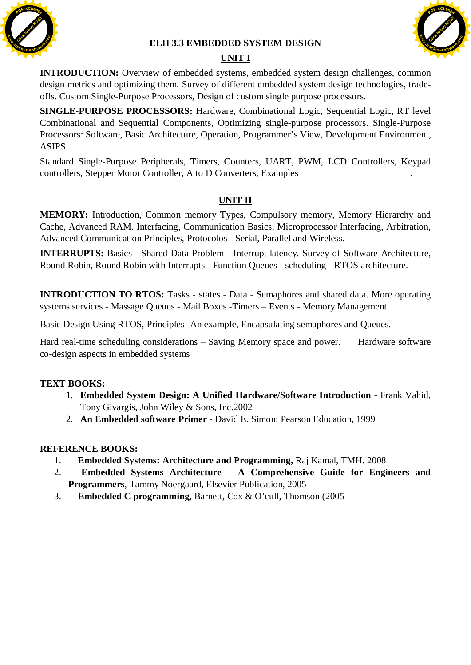

#### **ELH 3.3 EMBEDDED SYSTEM DESIGN**



# **UNIT I**

**INTRODUCTION:** Overview of embedded systems, embedded system design challenges, common design metrics and optimizing them. Survey of different embedded system design technologies, tradeoffs. Custom Single-Purpose Processors, Design of custom single purpose processors.

**SINGLE-PURPOSE PROCESSORS:** Hardware, Combinational Logic, Sequential Logic, RT level Combinational and Sequential Components, Optimizing single-purpose processors. Single-Purpose Processors: Software, Basic Architecture, Operation, Programmer's View, Development Environment, ASIPS.

Standard Single-Purpose Peripherals, Timers, Counters, UART, PWM, LCD Controllers, Keypad controllers, Stepper Motor Controller, A to D Converters, Examples .

# **UNIT II**

**MEMORY:** Introduction, Common memory Types, Compulsory memory, Memory Hierarchy and Cache, Advanced RAM. Interfacing, Communication Basics, Microprocessor Interfacing, Arbitration, Advanced Communication Principles, Protocolos - Serial, Parallel and Wireless.

**INTERRUPTS:** Basics - Shared Data Problem - Interrupt latency. Survey of Software Architecture, Round Robin, Round Robin with Interrupts - Function Queues - scheduling - RTOS architecture.

**INTRODUCTION TO RTOS:** Tasks - states - Data - Semaphores and shared data. More operating systems services - Massage Queues - Mail Boxes -Timers – Events - Memory Management.

Basic Design Using RTOS, Principles- An example, Encapsulating semaphores and Queues.

Hard real-time scheduling considerations – Saving Memory space and power. Hardware software co-design aspects in embedded systems

## **TEXT BOOKS:**

- 1. **Embedded System Design: A Unified Hardware/Software Introduction** Frank Vahid, Tony Givargis, John Wiley & Sons, Inc.2002
- 2. **An Embedded software Primer** David E. Simon: Pearson Education, 1999

- 1. **Embedded Systems: Architecture and Programming,** Raj Kamal, TMH. 2008
- 2. **Embedded Systems Architecture A Comprehensive Guide for Engineers and Programmers**, Tammy Noergaard, Elsevier Publication, 2005
- 3. **Embedded C programming**, Barnett, Cox & O'cull, Thomson (2005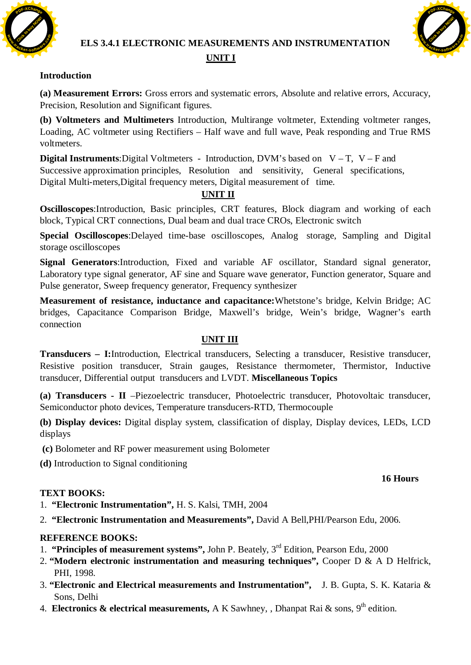

# **ELS 3.4.1 ELECTRONIC MEASUREMENTS AND INSTRUMENTATION**



# **UNIT I**

## **Introduction**

**(a) Measurement Errors:** Gross errors and systematic errors, Absolute and relative errors, Accuracy, Precision, Resolution and Significant figures.

**(b) Voltmeters and Multimeters** Introduction, Multirange voltmeter, Extending voltmeter ranges, Loading, AC voltmeter using Rectifiers – Half wave and full wave, Peak responding and True RMS voltmeters.

**Digital Instruments:**Digital Voltmeters - Introduction, DVM's based on V – T, V – F and Successive approximation principles, Resolution and sensitivity, General specifications, Digital Multi-meters,Digital frequency meters, Digital measurement of time.

# **UNIT II**

**Oscilloscopes**:Introduction, Basic principles, CRT features, Block diagram and working of each block, Typical CRT connections, Dual beam and dual trace CROs, Electronic switch

**Special Oscilloscopes**:Delayed time-base oscilloscopes, Analog storage, Sampling and Digital storage oscilloscopes

**Signal Generators**:Introduction, Fixed and variable AF oscillator, Standard signal generator, Laboratory type signal generator, AF sine and Square wave generator, Function generator, Square and Pulse generator, Sweep frequency generator, Frequency synthesizer

**Measurement of resistance, inductance and capacitance:**Whetstone's bridge, Kelvin Bridge; AC bridges, Capacitance Comparison Bridge, Maxwell's bridge, Wein's bridge, Wagner's earth connection

## **UNIT III**

**Transducers – I:**Introduction, Electrical transducers, Selecting a transducer, Resistive transducer, Resistive position transducer, Strain gauges, Resistance thermometer, Thermistor, Inductive transducer, Differential output transducers and LVDT. **Miscellaneous Topics**

**(a) Transducers - II** –Piezoelectric transducer, Photoelectric transducer, Photovoltaic transducer, Semiconductor photo devices, Temperature transducers-RTD, Thermocouple

**(b) Display devices:** Digital display system, classification of display, Display devices, LEDs, LCD displays

- **(c)** Bolometer and RF power measurement using Bolometer
- **(d)** Introduction to Signal conditioning

### **16 Hours**

### **TEXT BOOKS:**

- 1. **"Electronic Instrumentation",** H. S. Kalsi, TMH, 2004
- 2. **"Electronic Instrumentation and Measurements",** David A Bell,PHI/Pearson Edu, 2006.

- 1. **"Principles of measurement systems",** John P. Beately, 3rd Edition, Pearson Edu, 2000
- 2. **"Modern electronic instrumentation and measuring techniques",** Cooper D & A D Helfrick, PHI, 1998.
- 3. **"Electronic and Electrical measurements and Instrumentation",** J. B. Gupta, S. K. Kataria & Sons, Delhi
- 4. **Electronics & electrical measurements,** A K Sawhney, , Dhanpat Rai & sons, 9<sup>th</sup> edition.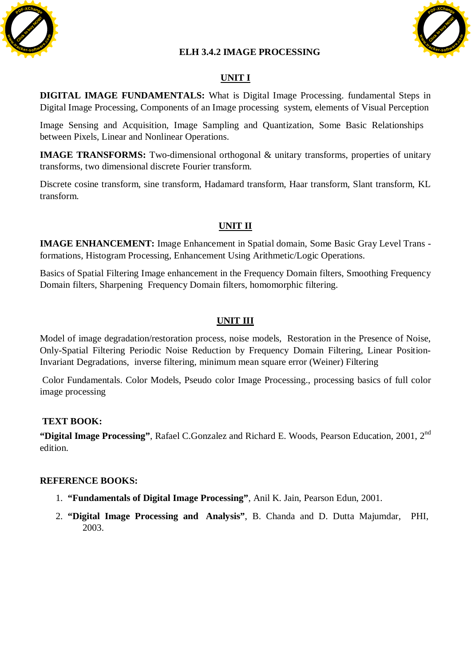

### **ELH 3.4.2 IMAGE PROCESSING**



# **UNIT I**

**DIGITAL IMAGE FUNDAMENTALS:** What is Digital Image Processing. fundamental Steps in Digital Image Processing, Components of an Image processing system, elements of Visual Perception

Image Sensing and Acquisition, Image Sampling and Quantization, Some Basic Relationships between Pixels, Linear and Nonlinear Operations.

**IMAGE TRANSFORMS:** Two-dimensional orthogonal & unitary transforms, properties of unitary transforms, two dimensional discrete Fourier transform.

Discrete cosine transform, sine transform, Hadamard transform, Haar transform, Slant transform, KL transform.

## **UNIT II**

**IMAGE ENHANCEMENT:** Image Enhancement in Spatial domain, Some Basic Gray Level Trans formations, Histogram Processing, Enhancement Using Arithmetic/Logic Operations.

Basics of Spatial Filtering Image enhancement in the Frequency Domain filters, Smoothing Frequency Domain filters, Sharpening Frequency Domain filters, homomorphic filtering.

## **UNIT III**

Model of image degradation/restoration process, noise models, Restoration in the Presence of Noise, Only-Spatial Filtering Periodic Noise Reduction by Frequency Domain Filtering, Linear Position-Invariant Degradations, inverse filtering, minimum mean square error (Weiner) Filtering

Color Fundamentals. Color Models, Pseudo color Image Processing., processing basics of full color image processing

### **TEXT BOOK:**

**"Digital Image Processing"**, Rafael C.Gonzalez and Richard E. Woods, Pearson Education, 2001, 2nd edition.

- 1. **"Fundamentals of Digital Image Processing"**, Anil K. Jain, Pearson Edun, 2001.
- 2. **"Digital Image Processing and Analysis"**, B. Chanda and D. Dutta Majumdar, PHI, 2003.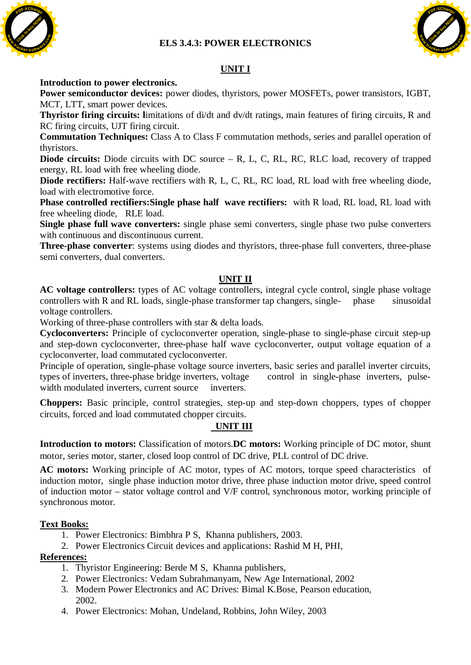**ELS 3.4.3: POWER ELECTRONICS** 



# **UNIT I**

#### **Introduction to power electronics.**

**Power semiconductor devices:** power diodes, thyristors, power MOSFETs, power transistors, IGBT, MCT, LTT, smart power devices.

**Thyristor firing circuits: l**imitations of di/dt and dv/dt ratings, main features of firing circuits, R and RC firing circuits, UJT firing circuit.

**Commutation Techniques:** Class A to Class F commutation methods, series and parallel operation of thyristors.

**Diode circuits:** Diode circuits with DC source – R, L, C, RL, RC, RLC load, recovery of trapped energy, RL load with free wheeling diode.

**Diode rectifiers:** Half-wave rectifiers with R, L, C, RL, RC load, RL load with free wheeling diode, load with electromotive force.

**Phase controlled rectifiers:Single phase half wave rectifiers:** with R load, RL load, RL load with free wheeling diode, RLE load.

**Single phase full wave converters:** single phase semi converters, single phase two pulse converters with continuous and discontinuous current.

**Three-phase converter**: systems using diodes and thyristors, three-phase full converters, three-phase semi converters, dual converters.

### **UNIT II**

AC voltage controllers: types of AC voltage controllers, integral cycle control, single phase voltage controllers with R and RL loads, single-phase transformer tap changers, single-<br>
sinusoidal voltage controllers.

Working of three-phase controllers with star & delta loads.

**Cycloconverters:** Principle of cycloconverter operation, single-phase to single-phase circuit step-up and step-down cycloconverter, three-phase half wave cycloconverter, output voltage equation of a cycloconverter, load commutated cycloconverter.

Principle of operation, single-phase voltage source inverters, basic series and parallel inverter circuits, types of inverters, three-phase bridge inverters, voltage control in single-phase inverters, pulsewidth modulated inverters, current source inverters.

**Choppers:** Basic principle, control strategies, step-up and step-down choppers, types of chopper circuits, forced and load commutated chopper circuits.

### **UNIT III**

**Introduction to motors:** Classification of motors.**DC motors:** Working principle of DC motor, shunt motor, series motor, starter, closed loop control of DC drive, PLL control of DC drive.

**AC motors:** Working principle of AC motor, types of AC motors, torque speed characteristics of induction motor, single phase induction motor drive, three phase induction motor drive, speed control of induction motor – stator voltage control and V/F control, synchronous motor, working principle of synchronous motor.

### **Text Books:**

- 1. Power Electronics: Bimbhra P S, Khanna publishers, 2003.
- 2. Power Electronics Circuit devices and applications: Rashid M H, PHI,

### **References:**

- 1. Thyristor Engineering: Berde M S, Khanna publishers,
- 2. Power Electronics: Vedam Subrahmanyam, New Age International, 2002
- 3. Modern Power Electronics and AC Drives: Bimal K.Bose, Pearson education, 2002.
- 4. Power Electronics: Mohan, Undeland, Robbins, John Wiley, 2003

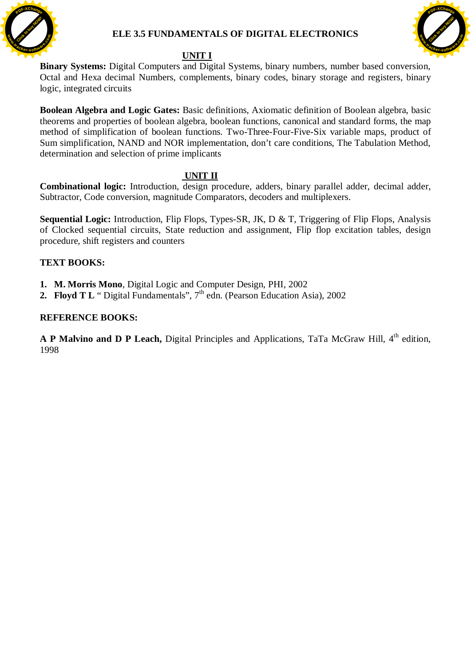

### **ELE 3.5 FUNDAMENTALS OF DIGITAL ELECTRONICS**



#### **UNIT I**

**Binary Systems:** Digital Computers and Digital Systems, binary numbers, number based conversion, Octal and Hexa decimal Numbers, complements, binary codes, binary storage and registers, binary logic, integrated circuits

**Boolean Algebra and Logic Gates:** Basic definitions, Axiomatic definition of Boolean algebra, basic theorems and properties of boolean algebra, boolean functions, canonical and standard forms, the map method of simplification of boolean functions. Two-Three-Four-Five-Six variable maps, product of Sum simplification, NAND and NOR implementation, don't care conditions, The Tabulation Method, determination and selection of prime implicants

### **UNIT II**

**Combinational logic:** Introduction, design procedure, adders, binary parallel adder, decimal adder, Subtractor, Code conversion, magnitude Comparators, decoders and multiplexers.

**Sequential Logic:** Introduction, Flip Flops, Types-SR, JK, D & T, Triggering of Flip Flops, Analysis of Clocked sequential circuits, State reduction and assignment, Flip flop excitation tables, design procedure, shift registers and counters

## **TEXT BOOKS:**

- **1. M. Morris Mono**, Digital Logic and Computer Design, PHI, 2002
- **2. Floyd T L** " Digital Fundamentals", 7<sup>th</sup> edn. (Pearson Education Asia), 2002

### **REFERENCE BOOKS:**

**A P Malvino and D P Leach,** Digital Principles and Applications, TaTa McGraw Hill, 4<sup>th</sup> edition, 1998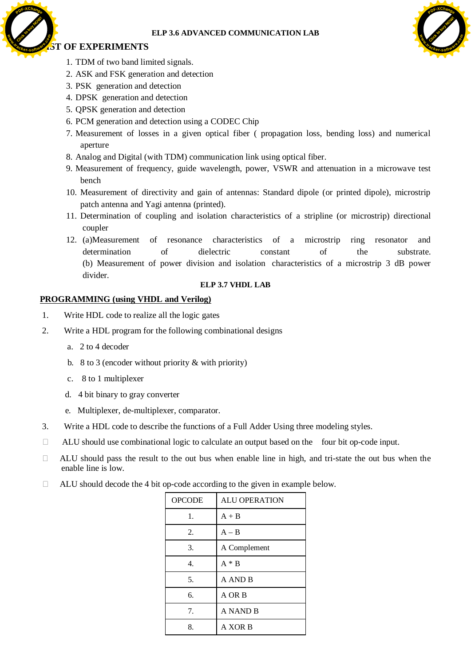#### **ELP 3.6 ADVANCED COMMUNICATION LAB**

#### *OF EXPERIMENTS* **.tracker-software.co<sup>m</sup>**

**<sup>P</sup>DF-XChang<sup>e</sup>**

**www**

[Click to buy NOW!](http://www.tracker-software.com/buy-now) **<sup>P</sup>DF-XChang<sup>e</sup> w .tracker-software.co<sup>m</sup>**

- 1. TDM of two band limited signals.
- 2. ASK and FSK generation and detection
- 3. PSK generation and detection
- 4. DPSK generation and detection
- 5. QPSK generation and detection
- 6. PCM generation and detection using a CODEC Chip
- 7. Measurement of losses in a given optical fiber ( propagation loss, bending loss) and numerical aperture
- 8. Analog and Digital (with TDM) communication link using optical fiber.
- 9. Measurement of frequency, guide wavelength, power, VSWR and attenuation in a microwave test bench
- 10. Measurement of directivity and gain of antennas: Standard dipole (or printed dipole), microstrip patch antenna and Yagi antenna (printed).
- 11. Determination of coupling and isolation characteristics of a stripline (or microstrip) directional coupler
- 12. (a)Measurement of resonance characteristics of a microstrip ring resonator and determination of dielectric constant of the substrate. (b) Measurement of power division and isolation characteristics of a microstrip 3 dB power divider.

#### **ELP 3.7 VHDL LAB**

#### **PROGRAMMING (using VHDL and Verilog)**

- 1. Write HDL code to realize all the logic gates
- 2. Write a HDL program for the following combinational designs
	- a. 2 to 4 decoder
	- b. 8 to 3 (encoder without priority & with priority)
	- c. 8 to 1 multiplexer
	- d. 4 bit binary to gray converter
	- e. Multiplexer, de-multiplexer, comparator.
- 3. Write a HDL code to describe the functions of a Full Adder Using three modeling styles.
- $\Box$  ALU should use combinational logic to calculate an output based on the four bit op-code input.
- $\Box$  ALU should pass the result to the out bus when enable line in high, and tri-state the out bus when the enable line is low.
- $\Box$  ALU should decode the 4 bit op-code according to the given in example below.

| <b>CONTROL</b> |                                                                                            |               | ELP 3.6 ADVANCED COMMUNICATION I                                            |  |  |
|----------------|--------------------------------------------------------------------------------------------|---------------|-----------------------------------------------------------------------------|--|--|
|                | <b>ST OF EXPERIMENTS</b>                                                                   |               |                                                                             |  |  |
|                | 1. TDM of two band limited signals.                                                        |               |                                                                             |  |  |
|                | 2. ASK and FSK generation and detection<br>3. PSK generation and detection                 |               |                                                                             |  |  |
|                | 4. DPSK generation and detection                                                           |               |                                                                             |  |  |
|                | 5. QPSK generation and detection                                                           |               |                                                                             |  |  |
|                | 6. PCM generation and detection using a CODEC Chip                                         |               |                                                                             |  |  |
|                | 7. Measurement of losses in a given optical fiber (propagation<br>aperture                 |               |                                                                             |  |  |
|                | 8. Analog and Digital (with TDM) communication link using optical                          |               |                                                                             |  |  |
|                | 9. Measurement of frequency, guide wavelength, power, VSWR a<br>bench                      |               |                                                                             |  |  |
|                | 10. Measurement of directivity and gain of antennas: Standard dip                          |               |                                                                             |  |  |
|                | patch antenna and Yagi antenna (printed).                                                  |               |                                                                             |  |  |
|                | 11. Determination of coupling and isolation characteristics of a<br>coupler                |               |                                                                             |  |  |
|                | 12. (a)Measurement of resonance characteristics of<br>determination<br>οf                  | dielectric    | a<br>constant<br>(b) Measurement of power division and isolation characteri |  |  |
|                | divider.                                                                                   |               | <b>ELP 3.7 VHDL LAB</b>                                                     |  |  |
|                | <b>PROGRAMMING (using VHDL and Verilog)</b>                                                |               |                                                                             |  |  |
| 1.             | Write HDL code to realize all the logic gates                                              |               |                                                                             |  |  |
| 2.             | Write a HDL program for the following combinational designs                                |               |                                                                             |  |  |
|                | a. 2 to 4 decoder                                                                          |               |                                                                             |  |  |
|                | b. 8 to 3 (encoder without priority $\&$ with priority)                                    |               |                                                                             |  |  |
|                | 8 to 1 multiplexer<br>c.                                                                   |               |                                                                             |  |  |
|                | 4 bit binary to gray converter<br>d.                                                       |               |                                                                             |  |  |
|                |                                                                                            |               |                                                                             |  |  |
|                | Multiplexer, de-multiplexer, comparator.<br>e.                                             |               |                                                                             |  |  |
| 3.             | Write a HDL code to describe the functions of a Full Adder Using thr                       |               |                                                                             |  |  |
| $\Box$         | ALU should use combinational logic to calculate an output based on ti                      |               |                                                                             |  |  |
| $\mathbf{L}$   | ALU should pass the result to the out bus when enable line in high,<br>enable line is low. |               |                                                                             |  |  |
| Ш              | ALU should decode the 4 bit op-code according to the given in examp.                       |               |                                                                             |  |  |
|                |                                                                                            | <b>OPCODE</b> | <b>ALU OPERATION</b>                                                        |  |  |
|                |                                                                                            | 1.            | $A + B$                                                                     |  |  |
|                |                                                                                            | 2.            | $A - B$                                                                     |  |  |
|                |                                                                                            | 3.            | A Complement                                                                |  |  |
|                |                                                                                            | 4.            | $A * B$                                                                     |  |  |
|                |                                                                                            | 5.            | A AND B                                                                     |  |  |
|                |                                                                                            | 6.            | A OR B                                                                      |  |  |
|                |                                                                                            | 7.            | A NAND B                                                                    |  |  |
|                |                                                                                            | 8.            | A XOR B                                                                     |  |  |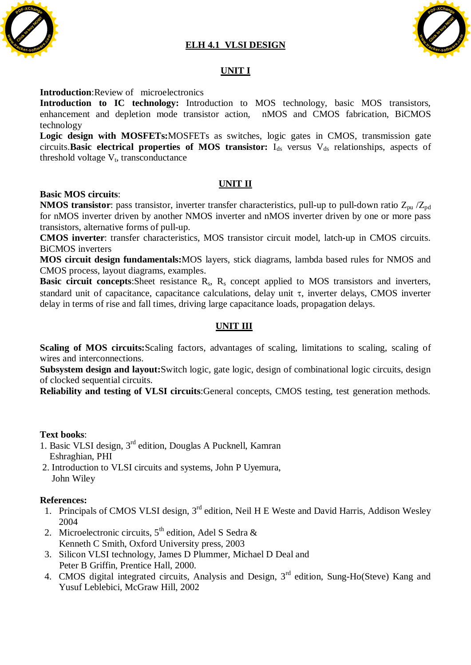## **ELH 4.1 VLSI DESIGN**





## **UNIT I**

#### **Introduction**:Review of microelectronics

**Introduction to IC technology:** Introduction to MOS technology, basic MOS transistors, enhancement and depletion mode transistor action, nMOS and CMOS fabrication, BiCMOS technology

**Logic design with MOSFETs:**MOSFETs as switches, logic gates in CMOS, transmission gate circuits.**Basic electrical properties of MOS transistor:** I<sub>ds</sub> versus V<sub>ds</sub> relationships, aspects of threshold voltage  $V_t$ , transconductance

### **UNIT II**

#### **Basic MOS circuits**:

**NMOS transistor**: pass transistor, inverter transfer characteristics, pull-up to pull-down ratio Z<sub>pu</sub> /Z<sub>pd</sub> for nMOS inverter driven by another NMOS inverter and nMOS inverter driven by one or more pass transistors, alternative forms of pull-up.

**CMOS inverter**: transfer characteristics, MOS transistor circuit model, latch-up in CMOS circuits. BiCMOS inverters

**MOS circuit design fundamentals:**MOS layers, stick diagrams, lambda based rules for NMOS and CMOS process, layout diagrams, examples.

**Basic circuit concepts:**Sheet resistance  $R_s$ ,  $R_s$  concept applied to MOS transistors and inverters, standard unit of capacitance, capacitance calculations, delay unit  $\tau$ , inverter delays, CMOS inverter delay in terms of rise and fall times, driving large capacitance loads, propagation delays.

### **UNIT III**

**Scaling of MOS circuits:**Scaling factors, advantages of scaling, limitations to scaling, scaling of wires and interconnections.

**Subsystem design and layout:**Switch logic, gate logic, design of combinational logic circuits, design of clocked sequential circuits.

**Reliability and testing of VLSI circuits**:General concepts, CMOS testing, test generation methods.

#### **Text books**:

- 1. Basic VLSI design, 3rd edition, Douglas A Pucknell, Kamran Eshraghian, PHI
- 2. Introduction to VLSI circuits and systems, John P Uyemura, John Wiley

#### **References:**

- 1. Principals of CMOS VLSI design, 3<sup>rd</sup> edition, Neil H E Weste and David Harris, Addison Wesley 2004
- 2. Microelectronic circuits,  $5<sup>th</sup>$  edition, Adel S Sedra & Kenneth C Smith, Oxford University press, 2003
- 3. Silicon VLSI technology, James D Plummer, Michael D Deal and Peter B Griffin, Prentice Hall, 2000.
- 4. CMOS digital integrated circuits, Analysis and Design, 3<sup>rd</sup> edition, Sung-Ho(Steve) Kang and Yusuf Leblebici, McGraw Hill, 2002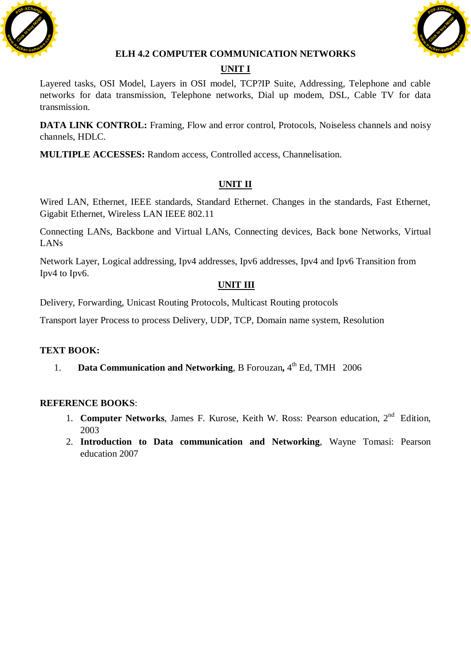



## **ELH 4.2 COMPUTER COMMUNICATION NETWORKS**

# **UNIT I**

Layered tasks, OSI Model, Layers in OSI model, TCP?IP Suite, Addressing, Telephone and cable networks for data transmission, Telephone networks, Dial up modem, DSL, Cable TV for data transmission.

**DATA LINK CONTROL:** Framing, Flow and error control, Protocols, Noiseless channels and noisy channels, HDLC.

**MULTIPLE ACCESSES:** Random access, Controlled access, Channelisation.

# **UNIT II**

Wired LAN, Ethernet, IEEE standards, Standard Ethernet. Changes in the standards, Fast Ethernet, Gigabit Ethernet, Wireless LAN IEEE 802.11

Connecting LANs, Backbone and Virtual LANs, Connecting devices, Back bone Networks, Virtual LANs

Network Layer, Logical addressing, Ipv4 addresses, Ipv6 addresses, Ipv4 and Ipv6 Transition from Ipv4 to Ipv6.

## **UNIT III**

Delivery, Forwarding, Unicast Routing Protocols, Multicast Routing protocols

Transport layer Process to process Delivery, UDP, TCP, Domain name system, Resolution

### **TEXT BOOK:**

1. **Data Communication and Networking**, B Forouzan, 4<sup>th</sup> Ed, TMH 2006

- 1. **Computer Networks**, James F. Kurose, Keith W. Ross: Pearson education. 2<sup>nd</sup> Edition. 2003
- 2. **Introduction to Data communication and Networking**, Wayne Tomasi: Pearson education 2007